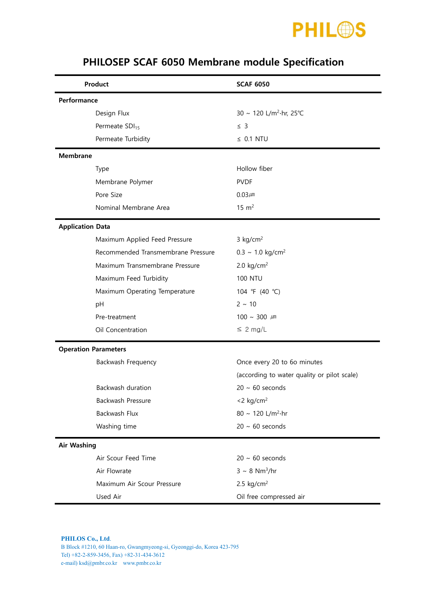

| Product                     |                                    | <b>SCAF 6050</b>                            |  |  |
|-----------------------------|------------------------------------|---------------------------------------------|--|--|
| Performance                 |                                    |                                             |  |  |
| Design Flux                 |                                    | 30 ~ 120 L/m <sup>2</sup> ·hr, 25°C         |  |  |
| Permeate SDI <sub>15</sub>  |                                    | $\leq$ 3                                    |  |  |
|                             | Permeate Turbidity                 | $\leq$ 0.1 NTU                              |  |  |
| <b>Membrane</b>             |                                    |                                             |  |  |
| <b>Type</b>                 |                                    | Hollow fiber                                |  |  |
|                             | Membrane Polymer                   | <b>PVDF</b>                                 |  |  |
| Pore Size                   |                                    | $0.03 \mu m$                                |  |  |
|                             | Nominal Membrane Area              | $15 \text{ m}^2$                            |  |  |
| <b>Application Data</b>     |                                    |                                             |  |  |
|                             | Maximum Applied Feed Pressure      | $3$ kg/cm <sup>2</sup>                      |  |  |
|                             | Recommended Transmembrane Pressure | $0.3 \sim 1.0 \text{ kg/cm}^2$              |  |  |
|                             | Maximum Transmembrane Pressure     | 2.0 $kg/cm2$                                |  |  |
|                             | Maximum Feed Turbidity             | <b>100 NTU</b>                              |  |  |
|                             | Maximum Operating Temperature      | 104 °F (40 °C)                              |  |  |
| pH                          |                                    | $2 \sim 10$                                 |  |  |
| Pre-treatment               |                                    | 100 ~ 300 $\mu$ m                           |  |  |
|                             | Oil Concentration                  | $\leq 2$ mg/L                               |  |  |
| <b>Operation Parameters</b> |                                    |                                             |  |  |
|                             | Backwash Frequency                 | Once every 20 to 6o minutes                 |  |  |
|                             |                                    | (according to water quality or pilot scale) |  |  |
|                             | Backwash duration                  | $20 \sim 60$ seconds                        |  |  |
|                             | Backwash Pressure                  | $<$ 2 kg/cm <sup>2</sup>                    |  |  |
| Backwash Flux               |                                    | 80 ~ 120 L/m <sup>2</sup> ·hr               |  |  |
| Washing time                |                                    | $20 \sim 60$ seconds                        |  |  |
| <b>Air Washing</b>          |                                    |                                             |  |  |
|                             | Air Scour Feed Time                | $20 \sim 60$ seconds                        |  |  |
| Air Flowrate                |                                    | $3 \sim 8$ Nm <sup>3</sup> /hr              |  |  |
|                             | Maximum Air Scour Pressure         | 2.5 $kg/cm2$                                |  |  |
| Used Air                    |                                    | Oil free compressed air                     |  |  |

## PHILOSEP SCAF 6050 Membrane module Specification

**PHILOS Co., Ltd**. B Block #1210, 60 Haan-ro, Gwangmyeong-si, Gyeonggi-do, Korea 423-795 Tel) +82-2-859-3456, Fax) +82-31-434-3612 e-mail) ksd@pmbr.co.kr www.pmbr.co.kr